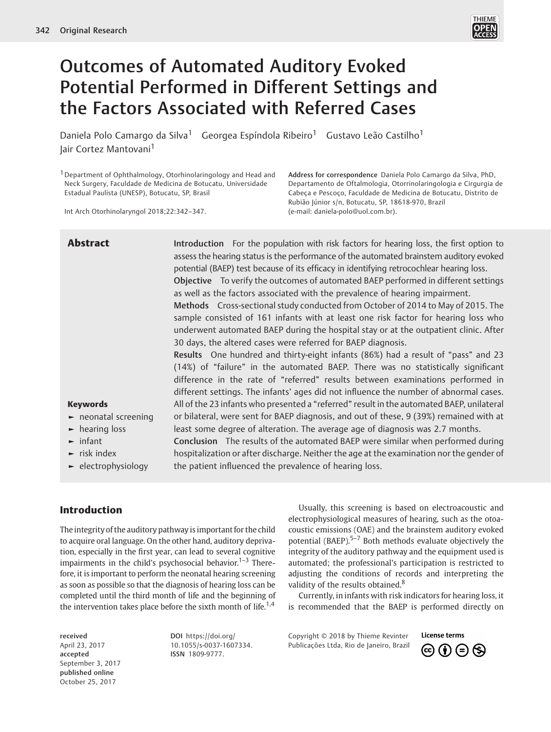

# Outcomes of Automated Auditory Evoked Potential Performed in Different Settings and the Factors Associated with Referred Cases

Daniela Polo Camargo da Silva<sup>1</sup> Georgea Espíndola Ribeiro<sup>1</sup> Gustavo Leão Castilho<sup>1</sup> Jair Cortez Mantovani<sup>1</sup>

1Department of Ophthalmology, Otorhinolaringology and Head and Neck Surgery, Faculdade de Medicina de Botucatu, Universidade Estadual Paulista (UNESP), Botucatu, SP, Brasil

Int Arch Otorhinolaryngol 2018;22:342–347.

Address for correspondence Daniela Polo Camargo da Silva, PhD, Departamento de Oftalmologia, Otorrinolaringologia e Cirgurgia de Cabeça e Pescoço, Faculdade de Medicina de Botucatu, Distrito de Rubião Júnior s/n, Botucatu, SP, 18618-970, Brazil (e-mail: daniela-polo@uol.com.br).

Abstract Introduction For the population with risk factors for hearing loss, the first option to assess the hearing status is the performance of the automated brainstem auditory evoked potential (BAEP) test because of its efficacy in identifying retrocochlear hearing loss. Objective To verify the outcomes of automated BAEP performed in different settings as well as the factors associated with the prevalence of hearing impairment. Methods Cross-sectional study conducted from October of 2014 to May of 2015. The sample consisted of 161 infants with at least one risk factor for hearing loss who underwent automated BAEP during the hospital stay or at the outpatient clinic. After 30 days, the altered cases were referred for BAEP diagnosis.

> Results One hundred and thirty-eight infants (86%) had a result of "pass" and 23 (14%) of "failure" in the automated BAEP. There was no statistically significant difference in the rate of "referred" results between examinations performed in different settings. The infants' ages did not influence the number of abnormal cases. All of the 23 infants who presented a "referred" result in the automated BAEP, unilateral or bilateral, were sent for BAEP diagnosis, and out of these, 9 (39%) remained with at least some degree of alteration. The average age of diagnosis was 2.7 months.

 $\blacktriangleright$  infant  $\blacktriangleright$  risk index ► electrophysiology Conclusion The results of the automated BAEP were similar when performed during hospitalization or after discharge. Neither the age at the examination nor the gender of the patient influenced the prevalence of hearing loss.

# Introduction

Keywords

► hearing loss

► neonatal screening

The integrity of the auditory pathway is important for the child to acquire oral language. On the other hand, auditory deprivation, especially in the first year, can lead to several cognitive impairments in the child's psychosocial behavior.<sup>1–3</sup> Therefore, it is important to perform the neonatal hearing screening as soon as possible so that the diagnosis of hearing loss can be completed until the third month of life and the beginning of the intervention takes place before the sixth month of life.<sup>1,4</sup>

received April 23, 2017 accepted September 3, 2017 published online October 25, 2017

DOI https://doi.org/ 10.1055/s-0037-1607334. ISSN 1809-9777.

Usually, this screening is based on electroacoustic and electrophysiological measures of hearing, such as the otoacoustic emissions (OAE) and the brainstem auditory evoked potential (BAEP). $5-7$  Both methods evaluate objectively the integrity of the auditory pathway and the equipment used is automated; the professional's participation is restricted to adjusting the conditions of records and interpreting the validity of the results obtained.<sup>8</sup>

Currently, in infants with risk indicators for hearing loss, it is recommended that the BAEP is performed directly on

Copyright © 2018 by Thieme Revinter Publicações Ltda, Rio de Janeiro, Brazil

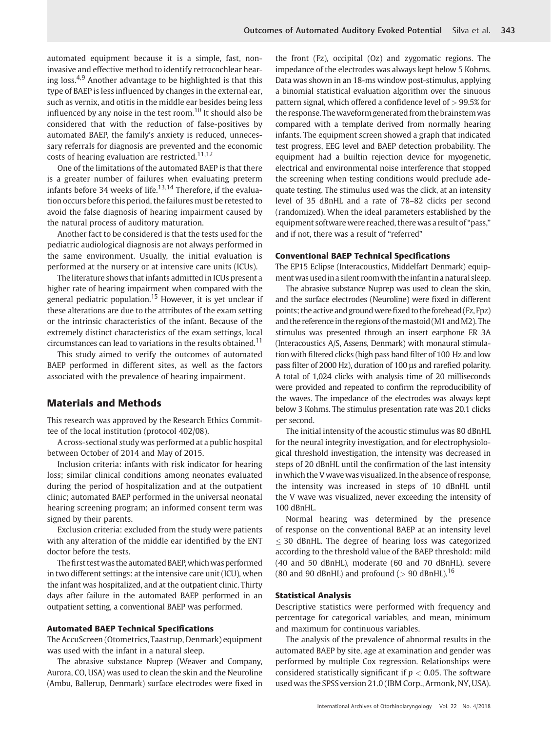automated equipment because it is a simple, fast, noninvasive and effective method to identify retrocochlear hearing loss.<sup>4,9</sup> Another advantage to be highlighted is that this type of BAEP is less influenced by changes in the external ear, such as vernix, and otitis in the middle ear besides being less influenced by any noise in the test room.<sup>10</sup> It should also be considered that with the reduction of false-positives by automated BAEP, the family's anxiety is reduced, unnecessary referrals for diagnosis are prevented and the economic costs of hearing evaluation are restricted.<sup>11,12</sup>

One of the limitations of the automated BAEP is that there is a greater number of failures when evaluating preterm infants before 34 weeks of life.<sup>13,14</sup> Therefore, if the evaluation occurs before this period, the failures must be retested to avoid the false diagnosis of hearing impairment caused by the natural process of auditory maturation.

Another fact to be considered is that the tests used for the pediatric audiological diagnosis are not always performed in the same environment. Usually, the initial evaluation is performed at the nursery or at intensive care units (ICUs).

The literature shows that infants admitted in ICUs present a higher rate of hearing impairment when compared with the general pediatric population.<sup>15</sup> However, it is yet unclear if these alterations are due to the attributes of the exam setting or the intrinsic characteristics of the infant. Because of the extremely distinct characteristics of the exam settings, local circumstances can lead to variations in the results obtained.<sup>11</sup>

This study aimed to verify the outcomes of automated BAEP performed in different sites, as well as the factors associated with the prevalence of hearing impairment.

# Materials and Methods

This research was approved by the Research Ethics Committee of the local institution (protocol 402/08).

A cross-sectional study was performed at a public hospital between October of 2014 and May of 2015.

Inclusion criteria: infants with risk indicator for hearing loss; similar clinical conditions among neonates evaluated during the period of hospitalization and at the outpatient clinic; automated BAEP performed in the universal neonatal hearing screening program; an informed consent term was signed by their parents.

Exclusion criteria: excluded from the study were patients with any alteration of the middle ear identified by the ENT doctor before the tests.

The first test was the automated BAEP, which was performed in two different settings: at the intensive care unit (ICU), when the infant was hospitalized, and at the outpatient clinic. Thirty days after failure in the automated BAEP performed in an outpatient setting, a conventional BAEP was performed.

#### Automated BAEP Technical Specifications

The AccuScreen (Otometrics, Taastrup, Denmark) equipment was used with the infant in a natural sleep.

The abrasive substance Nuprep (Weaver and Company, Aurora, CO, USA) was used to clean the skin and the Neuroline (Ambu, Ballerup, Denmark) surface electrodes were fixed in the front (Fz), occipital (Oz) and zygomatic regions. The impedance of the electrodes was always kept below 5 Kohms. Data was shown in an 18-ms window post-stimulus, applying a binomial statistical evaluation algorithm over the sinuous pattern signal, which offered a confidence level of  $> 99.5\%$  for the response. The waveform generated from the brainstem was compared with a template derived from normally hearing infants. The equipment screen showed a graph that indicated test progress, EEG level and BAEP detection probability. The equipment had a builtin rejection device for myogenetic, electrical and environmental noise interference that stopped the screening when testing conditions would preclude adequate testing. The stimulus used was the click, at an intensity level of 35 dBnHL and a rate of 78–82 clicks per second (randomized). When the ideal parameters established by the equipment software were reached, there was a result of "pass," and if not, there was a result of "referred"

### Conventional BAEP Technical Specifications

The EP15 Eclipse (Interacoustics, Middelfart Denmark) equipment was used in a silent room with the infant in a natural sleep.

The abrasive substance Nuprep was used to clean the skin, and the surface electrodes (Neuroline) were fixed in different points; the active and ground were fixed to the forehead (Fz, Fpz) and the reference in the regions of the mastoid (M1 and M2). The stimulus was presented through an insert earphone ER 3A (Interacoustics A/S, Assens, Denmark) with monaural stimulation with filtered clicks (high pass band filter of 100 Hz and low pass filter of 2000 Hz), duration of 100 μs and rarefied polarity. A total of 1,024 clicks with analysis time of 20 milliseconds were provided and repeated to confirm the reproducibility of the waves. The impedance of the electrodes was always kept below 3 Kohms. The stimulus presentation rate was 20.1 clicks per second.

The initial intensity of the acoustic stimulus was 80 dBnHL for the neural integrity investigation, and for electrophysiological threshold investigation, the intensity was decreased in steps of 20 dBnHL until the confirmation of the last intensity inwhich the V wave was visualized. In the absence of response, the intensity was increased in steps of 10 dBnHL until the V wave was visualized, never exceeding the intensity of 100 dBnHL.

Normal hearing was determined by the presence of response on the conventional BAEP at an intensity level 30 dBnHL. The degree of hearing loss was categorized according to the threshold value of the BAEP threshold: mild (40 and 50 dBnHL), moderate (60 and 70 dBnHL), severe (80 and 90 dBnHL) and profound ( $>$  90 dBnHL).<sup>16</sup>

### Statistical Analysis

Descriptive statistics were performed with frequency and percentage for categorical variables, and mean, minimum and maximum for continuous variables.

The analysis of the prevalence of abnormal results in the automated BAEP by site, age at examination and gender was performed by multiple Cox regression. Relationships were considered statistically significant if  $p < 0.05$ . The software used was the SPSS version 21.0 (IBM Corp., Armonk, NY, USA).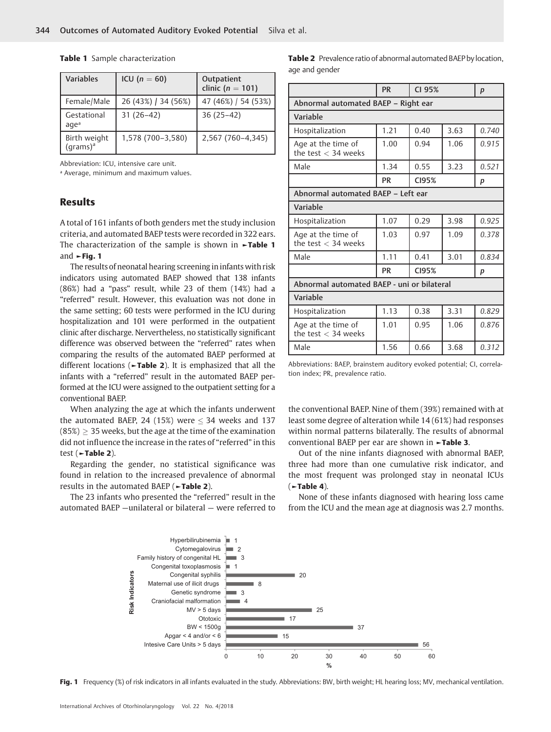| <b>Variables</b>                     | ICU ( $n = 60$ )    | Outpatient<br>clinic ( $n = 101$ ) |
|--------------------------------------|---------------------|------------------------------------|
| Female/Male                          | 26 (43%) / 34 (56%) | 47 (46%) / 54 (53%)                |
| Gestational<br>agea                  | $31(26-42)$         | $36(25-42)$                        |
| Birth weight<br>(grams) <sup>a</sup> | 1,578 (700-3,580)   | 2,567 (760-4,345)                  |

Table 1 Sample characterization

Abbreviation: ICU, intensive care unit.

ª Average, minimum and maximum values.

# Results

A total of 161 infants of both genders met the study inclusion criteria, and automated BAEP tests were recorded in 322 ears. The characterization of the sample is shown in **-Table 1** and ►Fig. 1

The results of neonatal hearing screening in infants with risk indicators using automated BAEP showed that 138 infants (86%) had a "pass" result, while 23 of them (14%) had a "referred" result. However, this evaluation was not done in the same setting; 60 tests were performed in the ICU during hospitalization and 101 were performed in the outpatient clinic after discharge. Nervertheless, no statistically significant difference was observed between the "referred" rates when comparing the results of the automated BAEP performed at different locations ( $\neg$ Table 2). It is emphasized that all the infants with a "referred" result in the automated BAEP performed at the ICU were assigned to the outpatient setting for a conventional BAEP.

When analyzing the age at which the infants underwent the automated BAEP, 24 (15%) were  $\leq$  34 weeks and 137  $(85%) \geq 35$  weeks, but the age at the time of the examination did not influence the increase in the rates of "referred" in this test (►Table 2).

Regarding the gender, no statistical significance was found in relation to the increased prevalence of abnormal results in the automated BAEP (►Table 2).

The 23 infants who presented the "referred" result in the automated BAEP —unilateral or bilateral — were referred to

|                | <b>Table 2</b> Prevalence ratio of abnormal automated BAEP by location, |  |  |  |  |
|----------------|-------------------------------------------------------------------------|--|--|--|--|
| age and gender |                                                                         |  |  |  |  |

|                                             | <b>PR</b> | CI 95% |      | $\boldsymbol{p}$ |  |  |  |  |
|---------------------------------------------|-----------|--------|------|------------------|--|--|--|--|
| Abnormal automated BAEP - Right ear         |           |        |      |                  |  |  |  |  |
| Variable                                    |           |        |      |                  |  |  |  |  |
| Hospitalization                             | 1.21      | 0.40   | 3.63 |                  |  |  |  |  |
| Age at the time of<br>the test $<$ 34 weeks | 1.00      | 0.94   | 1.06 | 0.915            |  |  |  |  |
| Male                                        | 1.34      | 0.55   | 3.23 | 0.521            |  |  |  |  |
|                                             | <b>PR</b> | CI95%  |      |                  |  |  |  |  |
| Abnormal automated BAEP - Left ear          |           |        |      |                  |  |  |  |  |
| Variable                                    |           |        |      |                  |  |  |  |  |
| Hospitalization                             | 1.07      | 0.29   | 3.98 | 0.925            |  |  |  |  |
| Age at the time of<br>the test $<$ 34 weeks | 1.03      | 0.97   | 1.09 | 0.378            |  |  |  |  |
| Male                                        | 1.11      | 0.41   | 3.01 | 0.834            |  |  |  |  |
|                                             | <b>PR</b> | CI95%  |      |                  |  |  |  |  |
| Abnormal automated BAEP - uni or bilateral  |           |        |      |                  |  |  |  |  |
| Variable                                    |           |        |      |                  |  |  |  |  |
| Hospitalization                             | 1.13      | 0.38   | 3.31 | 0.829            |  |  |  |  |
| Age at the time of<br>the test $<$ 34 weeks | 1.01      | 0.95   | 1.06 | 0.876            |  |  |  |  |
| Male                                        | 1.56      | 0.66   | 3.68 | 0.312            |  |  |  |  |

Abbreviations: BAEP, brainstem auditory evoked potential; CI, correlation index; PR, prevalence ratio.

the conventional BAEP. Nine of them (39%) remained with at least some degree of alteration while 14 (61%) had responses within normal patterns bilaterally. The results of abnormal conventional BAEP per ear are shown in ►Table 3.

Out of the nine infants diagnosed with abnormal BAEP, three had more than one cumulative risk indicator, and the most frequent was prolonged stay in neonatal ICUs  $($  >Table 4).

None of these infants diagnosed with hearing loss came from the ICU and the mean age at diagnosis was 2.7 months.



Fig. 1 Frequency (%) of risk indicators in all infants evaluated in the study. Abbreviations: BW, birth weight; HL hearing loss; MV, mechanical ventilation.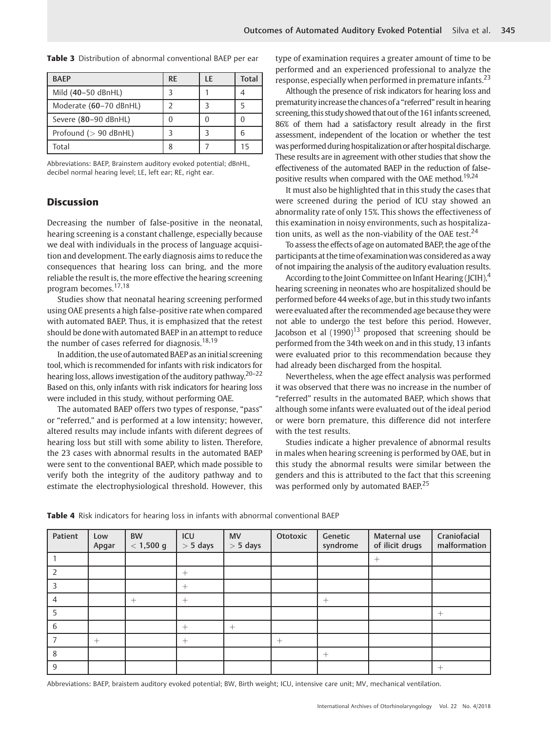| <b>BAEP</b>              | <b>RE</b> | LE | Total |
|--------------------------|-----------|----|-------|
| Mild (40-50 dBnHL)       |           |    |       |
| Moderate (60-70 dBnHL)   |           |    |       |
| Severe (80-90 dBnHL)     |           |    |       |
| Profound ( $> 90$ dBnHL) |           |    |       |
| Total                    |           |    | 15    |

Table 3 Distribution of abnormal conventional BAEP per ear

Abbreviations: BAEP, Brainstem auditory evoked potential; dBnHL, decibel normal hearing level; LE, left ear; RE, right ear.

# **Discussion**

Decreasing the number of false-positive in the neonatal, hearing screening is a constant challenge, especially because we deal with individuals in the process of language acquisition and development. The early diagnosis aims to reduce the consequences that hearing loss can bring, and the more reliable the result is, the more effective the hearing screening program becomes.17,18

Studies show that neonatal hearing screening performed using OAE presents a high false-positive rate when compared with automated BAEP. Thus, it is emphasized that the retest should be done with automated BAEP in an attempt to reduce the number of cases referred for diagnosis.<sup>18,19</sup>

In addition, the use of automated BAEP as an initial screening tool, which is recommended for infants with risk indicators for hearing loss, allows investigation of the auditory pathway.20–<sup>22</sup> Based on this, only infants with risk indicators for hearing loss were included in this study, without performing OAE.

The automated BAEP offers two types of response, "pass" or "referred," and is performed at a low intensity; however, altered results may include infants with diferent degrees of hearing loss but still with some ability to listen. Therefore, the 23 cases with abnormal results in the automated BAEP were sent to the conventional BAEP, which made possible to verify both the integrity of the auditory pathway and to estimate the electrophysiological threshold. However, this type of examination requires a greater amount of time to be performed and an experienced professional to analyze the response, especially when performed in premature infants.<sup>23</sup>

Although the presence of risk indicators for hearing loss and prematurityincrease the chances of a "referred" result in hearing screening, this study showed that out of the 161 infants screened, 86% of them had a satisfactory result already in the first assessment, independent of the location or whether the test was performed during hospitalization or after hospital discharge. These results are in agreement with other studies that show the effectiveness of the automated BAEP in the reduction of falsepositive results when compared with the OAE method.<sup>19,24</sup>

It must also be highlighted that in this study the cases that were screened during the period of ICU stay showed an abnormality rate of only 15%. This shows the effectiveness of this examination in noisy environments, such as hospitalization units, as well as the non-viability of the OAE test. $^{24}$ 

To assess the effects of age on automated BAEP, the age of the participants at the time of examinationwas considered as away of not impairing the analysis of the auditory evaluation results.

According to the Joint Committee on Infant Hearing (JCIH),<sup>4</sup> hearing screening in neonates who are hospitalized should be performed before 44 weeks of age, but in this study two infants were evaluated after the recommended age because they were not able to undergo the test before this period. However, Jacobson et al  $(1990)^{13}$  proposed that screening should be performed from the 34th week on and in this study, 13 infants were evaluated prior to this recommendation because they had already been discharged from the hospital.

Nevertheless, when the age effect analysis was performed it was observed that there was no increase in the number of "referred" results in the automated BAEP, which shows that although some infants were evaluated out of the ideal period or were born premature, this difference did not interfere with the test results.

Studies indicate a higher prevalence of abnormal results in males when hearing screening is performed by OAE, but in this study the abnormal results were similar between the genders and this is attributed to the fact that this screening was performed only by automated BAEP.<sup>25</sup>

| Patient | Low<br>Apgar | <b>BW</b><br>$< 1,500 \text{ g}$ | ICU<br>$> 5$ days | <b>MV</b><br>$> 5$ days | Ototoxic | Genetic<br>syndrome | Maternal use<br>of ilicit drugs | Craniofacial<br>malformation |
|---------|--------------|----------------------------------|-------------------|-------------------------|----------|---------------------|---------------------------------|------------------------------|
|         |              |                                  |                   |                         |          |                     | $^{+}$                          |                              |
| 2       |              |                                  | $^{+}$            |                         |          |                     |                                 |                              |
| 3       |              |                                  | $^{+}$            |                         |          |                     |                                 |                              |
| 4       |              | $^{+}$                           | $^{+}$            |                         |          | $^{+}$              |                                 |                              |
| 5       |              |                                  |                   |                         |          |                     |                                 | $^{+}$                       |
| 6       |              |                                  | $^{+}$            | $^{+}$                  |          |                     |                                 |                              |
|         | $^{+}$       |                                  | $^{+}$            |                         | $^{+}$   |                     |                                 |                              |
| 8       |              |                                  |                   |                         |          | $^+$                |                                 |                              |
| 9       |              |                                  |                   |                         |          |                     |                                 | $^{+}$                       |

Table 4 Risk indicators for hearing loss in infants with abnormal conventional BAEP

Abbreviations: BAEP, braistem auditory evoked potential; BW, Birth weight; ICU, intensive care unit; MV, mechanical ventilation.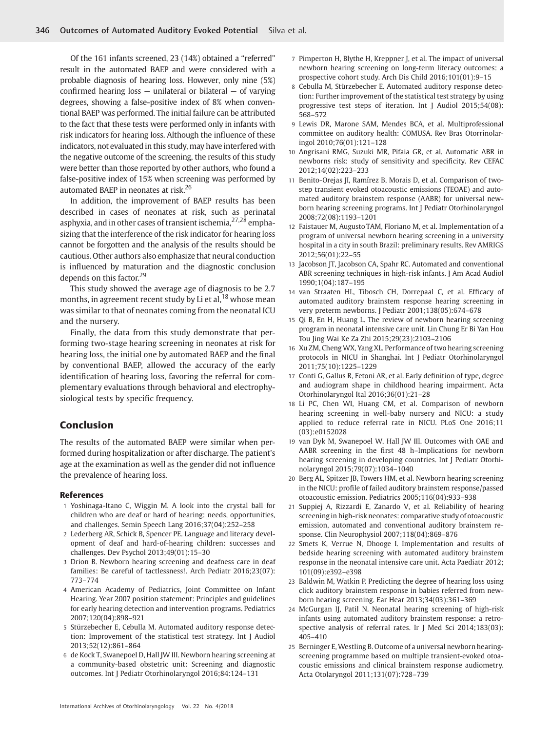Of the 161 infants screened, 23 (14%) obtained a "referred" result in the automated BAEP and were considered with a probable diagnosis of hearing loss. However, only nine (5%) confirmed hearing loss  $-$  unilateral or bilateral  $-$  of varying degrees, showing a false-positive index of 8% when conventional BAEP was performed. The initial failure can be attributed to the fact that these tests were performed only in infants with risk indicators for hearing loss. Although the influence of these indicators, not evaluated in this study, may have interfered with the negative outcome of the screening, the results of this study were better than those reported by other authors, who found a false-positive index of 15% when screening was performed by automated BAEP in neonates at risk.<sup>26</sup>

In addition, the improvement of BAEP results has been described in cases of neonates at risk, such as perinatal asphyxia, and in other cases of transient ischemia,<sup>27,28</sup> emphasizing that the interference of the risk indicator for hearing loss cannot be forgotten and the analysis of the results should be cautious. Other authors also emphasize that neural conduction is influenced by maturation and the diagnostic conclusion depends on this factor.<sup>29</sup>

This study showed the average age of diagnosis to be 2.7 months, in agreement recent study by Li et al,<sup>18</sup> whose mean was similar to that of neonates coming from the neonatal ICU and the nursery.

Finally, the data from this study demonstrate that performing two-stage hearing screening in neonates at risk for hearing loss, the initial one by automated BAEP and the final by conventional BAEP, allowed the accuracy of the early identification of hearing loss, favoring the referral for complementary evaluations through behavioral and electrophysiological tests by specific frequency.

# Conclusion

The results of the automated BAEP were similar when performed during hospitalization or after discharge. The patient's age at the examination as well as the gender did not influence the prevalence of hearing loss.

#### References

- 1 Yoshinaga-Itano C, Wiggin M. A look into the crystal ball for children who are deaf or hard of hearing: needs, opportunities, and challenges. Semin Speech Lang 2016;37(04):252–258
- 2 Lederberg AR, Schick B, Spencer PE. Language and literacy development of deaf and hard-of-hearing children: successes and challenges. Dev Psychol 2013;49(01):15–30
- 3 Drion B. Newborn hearing screening and deafness care in deaf families: Be careful of tactlessness!. Arch Pediatr 2016;23(07): 773–774
- 4 American Academy of Pediatrics, Joint Committee on Infant Hearing. Year 2007 position statement: Principles and guidelines for early hearing detection and intervention programs. Pediatrics 2007;120(04):898–921
- 5 Stürzebecher E, Cebulla M. Automated auditory response detection: Improvement of the statistical test strategy. Int J Audiol 2013;52(12):861–864
- 6 de Kock T, Swanepoel D, Hall JW III. Newborn hearing screening at a community-based obstetric unit: Screening and diagnostic outcomes. Int J Pediatr Otorhinolaryngol 2016;84:124–131
- 7 Pimperton H, Blythe H, Kreppner J, et al. The impact of universal newborn hearing screening on long-term literacy outcomes: a prospective cohort study. Arch Dis Child 2016;101(01):9–15
- 8 Cebulla M, Stürzebecher E. Automated auditory response detection: Further improvement of the statistical test strategy by using progressive test steps of iteration. Int J Audiol 2015;54(08): 568–572
- 9 Lewis DR, Marone SAM, Mendes BCA, et al. Multiprofessional committee on auditory health: COMUSA. Rev Bras Otorrinolaringol 2010;76(01):121–128
- 10 Angrisani RMG, Suzuki MR, Pifaia GR, et al. Automatic ABR in newborns risk: study of sensitivity and specificity. Rev CEFAC 2012;14(02):223–233
- 11 Benito-Orejas JI, Ramírez B, Morais D, et al. Comparison of twostep transient evoked otoacoustic emissions (TEOAE) and automated auditory brainstem response (AABR) for universal newborn hearing screening programs. Int J Pediatr Otorhinolaryngol 2008;72(08):1193–1201
- 12 Faistauer M, Augusto TAM, Floriano M, et al. Implementation of a program of universal newborn hearing screening in a university hospital in a city in south Brazil: preliminary results. Rev AMRIGS 2012;56(01):22–55
- 13 Jacobson JT, Jacobson CA, Spahr RC. Automated and conventional ABR screening techniques in high-risk infants. J Am Acad Audiol 1990;1(04):187–195
- 14 van Straaten HL, Tibosch CH, Dorrepaal C, et al. Efficacy of automated auditory brainstem response hearing screening in very preterm newborns. J Pediatr 2001;138(05):674–678
- 15 Qi B, En H, Huang L. The review of newborn hearing screening program in neonatal intensive care unit. Lin Chung Er Bi Yan Hou Tou Jing Wai Ke Za Zhi 2015;29(23):2103–2106
- 16 Xu ZM, Cheng WX, Yang XL. Performance of two hearing screening protocols in NICU in Shanghai. Int J Pediatr Otorhinolaryngol 2011;75(10):1225–1229
- 17 Conti G, Gallus R, Fetoni AR, et al. Early definition of type, degree and audiogram shape in childhood hearing impairment. Acta Otorhinolaryngol Ital 2016;36(01):21–28
- 18 Li PC, Chen WI, Huang CM, et al. Comparison of newborn hearing screening in well-baby nursery and NICU: a study applied to reduce referral rate in NICU. PLoS One 2016;11 (03):e0152028
- 19 van Dyk M, Swanepoel W, Hall JW III. Outcomes with OAE and AABR screening in the first 48 h–Implications for newborn hearing screening in developing countries. Int J Pediatr Otorhinolaryngol 2015;79(07):1034–1040
- 20 Berg AL, Spitzer JB, Towers HM, et al. Newborn hearing screening in the NICU: profile of failed auditory brainstem response/passed otoacoustic emission. Pediatrics 2005;116(04):933–938
- 21 Suppiej A, Rizzardi E, Zanardo V, et al. Reliability of hearing screening in high-risk neonates: comparative study of otoacoustic emission, automated and conventional auditory brainstem response. Clin Neurophysiol 2007;118(04):869–876
- 22 Smets K, Verrue N, Dhooge I. Implementation and results of bedside hearing screening with automated auditory brainstem response in the neonatal intensive care unit. Acta Paediatr 2012; 101(09):e392–e398
- 23 Baldwin M, Watkin P. Predicting the degree of hearing loss using click auditory brainstem response in babies referred from newborn hearing screening. Ear Hear 2013;34(03):361–369
- 24 McGurgan IJ, Patil N. Neonatal hearing screening of high-risk infants using automated auditory brainstem response: a retrospective analysis of referral rates. Ir J Med Sci 2014;183(03): 405–410
- 25 Berninger E, Westling B. Outcome of a universal newborn hearingscreening programme based on multiple transient-evoked otoacoustic emissions and clinical brainstem response audiometry. Acta Otolaryngol 2011;131(07):728–739